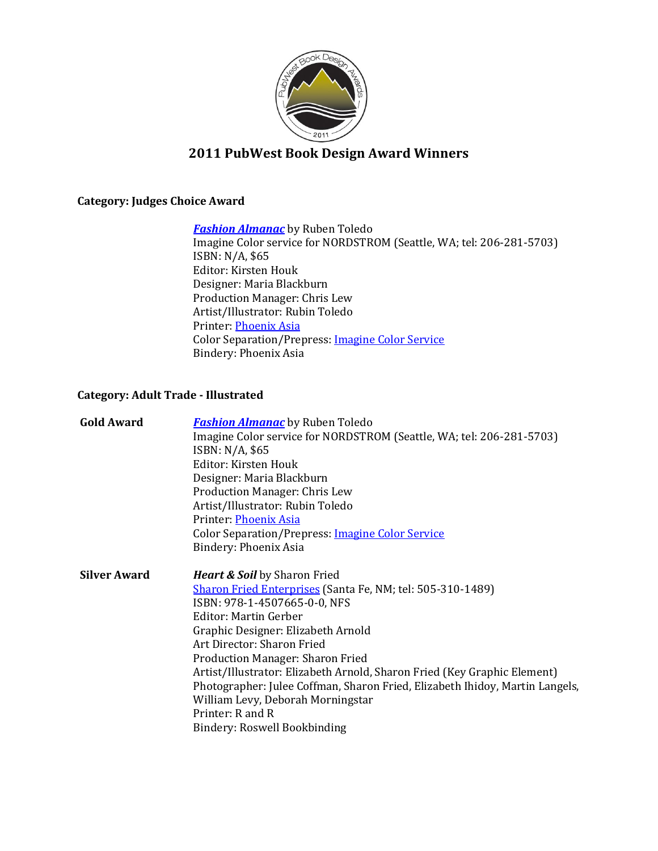

## **2011 PubWest Book Design Award Winners**

### **Category: Judges Choice Award**

*[Fashion Almanac](http://shop.nordstrom.com/s/ruben-toledos-fashion-almanac-book-nordstrom-exclusive/3126496?origin=keywordsearch&resultback=185)* by Ruben Toledo

Imagine Color service for NORDSTROM (Seattle, WA; tel: 206-281-5703) ISBN: N/A, \$65 Editor: Kirsten Houk Designer: Maria Blackburn Production Manager: Chris Lew Artist/Illustrator: Rubin Toledo Printer: [Phoenix Asia](http://www.phoenixcolor.com/) Color Separation/Prepress: [Imagine Color Service](http://www.imaginecs.com/) Bindery: Phoenix Asia

### **Category: Adult Trade - Illustrated**

| <b>Gold Award</b>   | <b>Fashion Almanac</b> by Ruben Toledo<br>Imagine Color service for NORDSTROM (Seattle, WA; tel: 206-281-5703)<br>ISBN: N/A, \$65<br>Editor: Kirsten Houk<br>Designer: Maria Blackburn<br><b>Production Manager: Chris Lew</b><br>Artist/Illustrator: Rubin Toledo<br>Printer: Phoenix Asia<br><b>Color Separation/Prepress: Imagine Color Service</b><br>Bindery: Phoenix Asia                                                                                                                                                           |
|---------------------|-------------------------------------------------------------------------------------------------------------------------------------------------------------------------------------------------------------------------------------------------------------------------------------------------------------------------------------------------------------------------------------------------------------------------------------------------------------------------------------------------------------------------------------------|
| <b>Silver Award</b> | <b>Heart &amp; Soil</b> by Sharon Fried<br><b>Sharon Fried Enterprises</b> (Santa Fe, NM; tel: 505-310-1489)<br>ISBN: 978-1-4507665-0-0, NFS<br>Editor: Martin Gerber<br>Graphic Designer: Elizabeth Arnold<br>Art Director: Sharon Fried<br><b>Production Manager: Sharon Fried</b><br>Artist/Illustrator: Elizabeth Arnold, Sharon Fried (Key Graphic Element)<br>Photographer: Julee Coffman, Sharon Fried, Elizabeth Ihidoy, Martin Langels,<br>William Levy, Deborah Morningstar<br>Printer: R and R<br>Bindery: Roswell Bookbinding |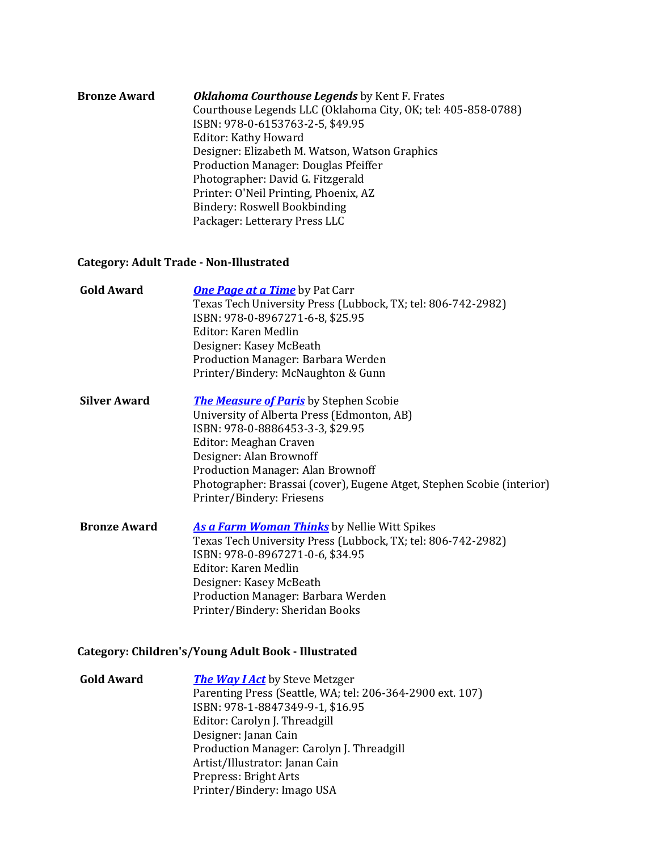| <b>Bronze Award</b> | <b>Oklahoma Courthouse Legends</b> by Kent F. Frates<br>Courthouse Legends LLC (Oklahoma City, OK; tel: 405-858-0788)<br>ISBN: 978-0-6153763-2-5, \$49.95<br><b>Editor: Kathy Howard</b><br>Designer: Elizabeth M. Watson, Watson Graphics<br>Production Manager: Douglas Pfeiffer<br>Photographer: David G. Fitzgerald |
|---------------------|-------------------------------------------------------------------------------------------------------------------------------------------------------------------------------------------------------------------------------------------------------------------------------------------------------------------------|
|                     | Printer: O'Neil Printing, Phoenix, AZ<br>Bindery: Roswell Bookbinding<br>Packager: Letterary Press LLC                                                                                                                                                                                                                  |

### **Category: Adult Trade - Non-Illustrated**

| <b>Gold Award</b>   | <b>One Page at a Time</b> by Pat Carr                                  |
|---------------------|------------------------------------------------------------------------|
|                     | Texas Tech University Press (Lubbock, TX; tel: 806-742-2982)           |
|                     | ISBN: 978-0-8967271-6-8, \$25.95                                       |
|                     | Editor: Karen Medlin                                                   |
|                     | Designer: Kasey McBeath                                                |
|                     | Production Manager: Barbara Werden                                     |
|                     | Printer/Bindery: McNaughton & Gunn                                     |
| <b>Silver Award</b> | <b>The Measure of Paris</b> by Stephen Scobie                          |
|                     | University of Alberta Press (Edmonton, AB)                             |
|                     | ISBN: 978-0-8886453-3-3, \$29.95                                       |
|                     | Editor: Meaghan Craven                                                 |
|                     | Designer: Alan Brownoff                                                |
|                     | <b>Production Manager: Alan Brownoff</b>                               |
|                     | Photographer: Brassai (cover), Eugene Atget, Stephen Scobie (interior) |
|                     | Printer/Bindery: Friesens                                              |
| <b>Bronze Award</b> | <b>As a Farm Woman Thinks</b> by Nellie Witt Spikes                    |
|                     | Texas Tech University Press (Lubbock, TX; tel: 806-742-2982)           |
|                     | ISBN: 978-0-8967271-0-6, \$34.95                                       |
|                     | Editor: Karen Medlin                                                   |
|                     | Designer: Kasey McBeath                                                |
|                     | Production Manager: Barbara Werden                                     |

### **Category: Children's/Young Adult Book - Illustrated**

| <b>Gold Award</b> | <b>The Way I Act</b> by Steve Metzger                     |
|-------------------|-----------------------------------------------------------|
|                   | Parenting Press (Seattle, WA; tel: 206-364-2900 ext. 107) |
|                   | ISBN: 978-1-8847349-9-1, \$16.95                          |
|                   | Editor: Carolyn J. Threadgill                             |
|                   | Designer: Janan Cain                                      |
|                   | Production Manager: Carolyn J. Threadgill                 |
|                   | Artist/Illustrator: Janan Cain                            |
|                   | Prepress: Bright Arts                                     |
|                   | Printer/Bindery: Imago USA                                |

Printer/Bindery: Sheridan Books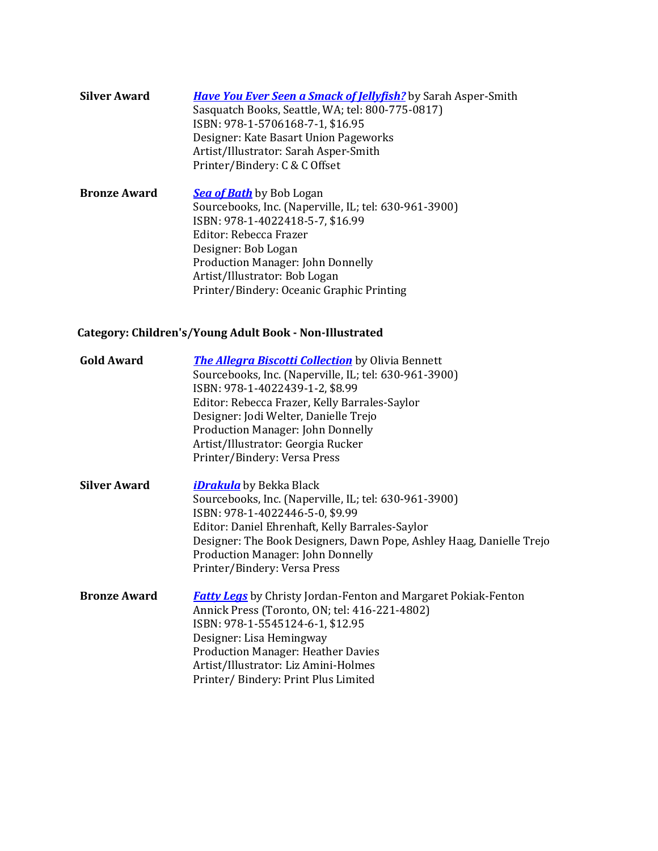| <b>Silver Award</b> | <b>Have You Ever Seen a Smack of Jellyfish?</b> by Sarah Asper-Smith<br>Sasquatch Books, Seattle, WA; tel: 800-775-0817)<br>ISBN: 978-1-5706168-7-1, \$16.95<br>Designer: Kate Basart Union Pageworks<br>Artist/Illustrator: Sarah Asper-Smith<br>Printer/Bindery: C & C Offset |
|---------------------|---------------------------------------------------------------------------------------------------------------------------------------------------------------------------------------------------------------------------------------------------------------------------------|
| <b>Bronze Award</b> | Sea of Bath by Bob Logan                                                                                                                                                                                                                                                        |

Sourcebooks, Inc. (Naperville, IL; tel: 630-961-3900) ISBN: 978-1-4022418-5-7, \$16.99 Editor: Rebecca Frazer Designer: Bob Logan Production Manager: John Donnelly Artist/Illustrator: Bob Logan Printer/Bindery: Oceanic Graphic Printing

### **Category: Children's/Young Adult Book - Non-Illustrated**

| <b>Gold Award</b>   | <b>The Allegra Biscotti Collection</b> by Olivia Bennett<br>Sourcebooks, Inc. (Naperville, IL; tel: 630-961-3900)<br>ISBN: 978-1-4022439-1-2, \$8.99<br>Editor: Rebecca Frazer, Kelly Barrales-Saylor<br>Designer: Jodi Welter, Danielle Trejo<br><b>Production Manager: John Donnelly</b><br>Artist/Illustrator: Georgia Rucker<br>Printer/Bindery: Versa Press |
|---------------------|------------------------------------------------------------------------------------------------------------------------------------------------------------------------------------------------------------------------------------------------------------------------------------------------------------------------------------------------------------------|
| <b>Silver Award</b> | <i><b><u>iDrakula</u></b></i> by Bekka Black<br>Sourcebooks, Inc. (Naperville, IL; tel: 630-961-3900)<br>ISBN: 978-1-4022446-5-0, \$9.99<br>Editor: Daniel Ehrenhaft, Kelly Barrales-Saylor<br>Designer: The Book Designers, Dawn Pope, Ashley Haag, Danielle Trejo<br><b>Production Manager: John Donnelly</b><br>Printer/Bindery: Versa Press                  |
| <b>Bronze Award</b> | <b>Fatty Legs</b> by Christy Jordan-Fenton and Margaret Pokiak-Fenton<br>Annick Press (Toronto, ON; tel: 416-221-4802)<br>ISBN: 978-1-5545124-6-1, \$12.95<br>Designer: Lisa Hemingway<br><b>Production Manager: Heather Davies</b><br>Artist/Illustrator: Liz Amini-Holmes<br>Printer/Bindery: Print Plus Limited                                               |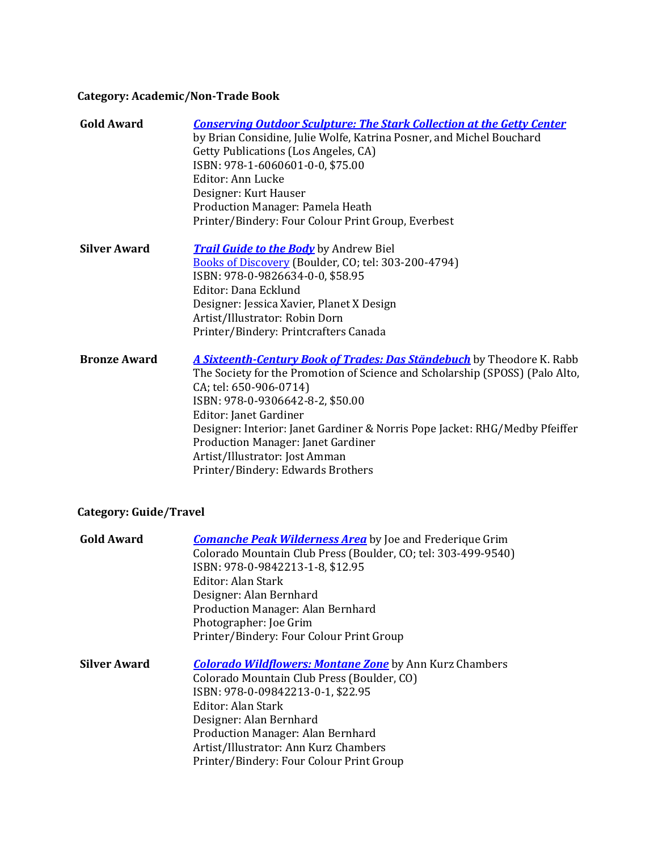## **Category: Academic/Non-Trade Book**

| <b>Gold Award</b>   | <b>Conserving Outdoor Sculpture: The Stark Collection at the Getty Center</b><br>by Brian Considine, Julie Wolfe, Katrina Posner, and Michel Bouchard<br>Getty Publications (Los Angeles, CA)<br>ISBN: 978-1-6060601-0-0, \$75.00<br>Editor: Ann Lucke<br>Designer: Kurt Hauser<br>Production Manager: Pamela Heath<br>Printer/Bindery: Four Colour Print Group, Everbest                                                                  |
|---------------------|--------------------------------------------------------------------------------------------------------------------------------------------------------------------------------------------------------------------------------------------------------------------------------------------------------------------------------------------------------------------------------------------------------------------------------------------|
| <b>Silver Award</b> | <b>Trail Guide to the Body</b> by Andrew Biel<br>Books of Discovery (Boulder, CO; tel: 303-200-4794)<br>ISBN: 978-0-9826634-0-0, \$58.95<br>Editor: Dana Ecklund<br>Designer: Jessica Xavier, Planet X Design<br>Artist/Illustrator: Robin Dorn<br>Printer/Bindery: Printcrafters Canada                                                                                                                                                   |
| <b>Bronze Award</b> | A Sixteenth-Century Book of Trades: Das Ständebuch by Theodore K. Rabb<br>The Society for the Promotion of Science and Scholarship (SPOSS) (Palo Alto,<br>CA; tel: 650-906-0714)<br>ISBN: 978-0-9306642-8-2, \$50.00<br>Editor: Janet Gardiner<br>Designer: Interior: Janet Gardiner & Norris Pope Jacket: RHG/Medby Pfeiffer<br>Production Manager: Janet Gardiner<br>Artist/Illustrator: Jost Amman<br>Printer/Bindery: Edwards Brothers |

# **Category: Guide/Travel**

| <b>Gold Award</b> | <b>Comanche Peak Wilderness Area</b> by Joe and Frederique Grim |
|-------------------|-----------------------------------------------------------------|
|                   | Colorado Mountain Club Press (Boulder, CO; tel: 303-499-9540)   |
|                   | ISBN: 978-0-9842213-1-8, \$12.95                                |
|                   | Editor: Alan Stark                                              |
|                   | Designer: Alan Bernhard                                         |
|                   | Production Manager: Alan Bernhard                               |
|                   | Photographer: Joe Grim                                          |
|                   | Printer/Bindery: Four Colour Print Group                        |
| Silver Award      | <b>Colorado Wildflowers: Montane Zone</b> by Ann Kurz Chambers  |
|                   | Colorado Mountain Club Press (Boulder, CO)                      |
|                   | ISBN: 978-0-09842213-0-1, \$22.95                               |
|                   | Editor: Alan Stark                                              |
|                   | Designer: Alan Bernhard                                         |
|                   | Production Manager: Alan Bernhard                               |
|                   | Artist/Illustrator: Ann Kurz Chambers                           |
|                   | Printer/Bindery: Four Colour Print Group                        |
|                   |                                                                 |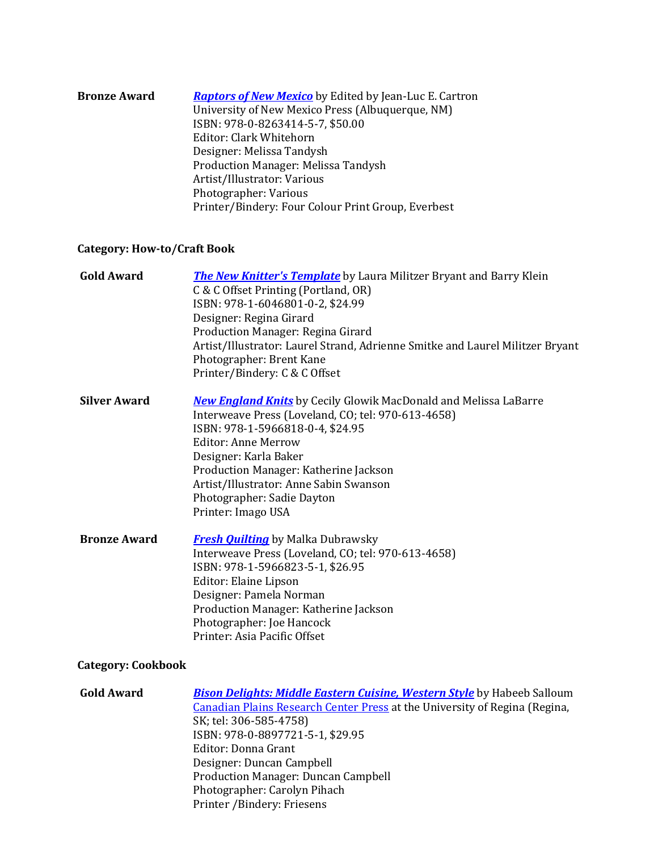| <b>Bronze Award</b> | <b>Raptors of New Mexico</b> by Edited by Jean-Luc E. Cartron |
|---------------------|---------------------------------------------------------------|
|                     | University of New Mexico Press (Albuquerque, NM)              |
|                     | ISBN: 978-0-8263414-5-7, \$50.00                              |
|                     | Editor: Clark Whitehorn                                       |
|                     | Designer: Melissa Tandysh                                     |
|                     | Production Manager: Melissa Tandysh                           |
|                     | Artist/Illustrator: Various                                   |
|                     | Photographer: Various                                         |
|                     | Printer/Bindery: Four Colour Print Group, Everbest            |

## **Category: How-to/Craft Book**

| <b>Gold Award</b>   | <b>The New Knitter's Template</b> by Laura Militzer Bryant and Barry Klein<br>C & C Offset Printing (Portland, OR)<br>ISBN: 978-1-6046801-0-2, \$24.99<br>Designer: Regina Girard<br>Production Manager: Regina Girard<br>Artist/Illustrator: Laurel Strand, Adrienne Smitke and Laurel Militzer Bryant<br>Photographer: Brent Kane<br>Printer/Bindery: C & C Offset |
|---------------------|----------------------------------------------------------------------------------------------------------------------------------------------------------------------------------------------------------------------------------------------------------------------------------------------------------------------------------------------------------------------|
| <b>Silver Award</b> | <b>New England Knits</b> by Cecily Glowik MacDonald and Melissa LaBarre<br>Interweave Press (Loveland, CO; tel: 970-613-4658)<br>ISBN: 978-1-5966818-0-4, \$24.95<br><b>Editor: Anne Merrow</b><br>Designer: Karla Baker<br>Production Manager: Katherine Jackson<br>Artist/Illustrator: Anne Sabin Swanson<br>Photographer: Sadie Dayton<br>Printer: Imago USA      |
| <b>Bronze Award</b> | <b>Fresh Quilting</b> by Malka Dubrawsky<br>Interweave Press (Loveland, CO; tel: 970-613-4658)<br>ISBN: 978-1-5966823-5-1, \$26.95<br>Editor: Elaine Lipson<br>Designer: Pamela Norman<br>Production Manager: Katherine Jackson<br>Photographer: Joe Hancock<br>Printer: Asia Pacific Offset                                                                         |

## **Category: Cookbook**

| <b>Gold Award</b> | <b>Bison Delights: Middle Eastern Cuisine, Western Style</b> by Habeeb Salloum    |
|-------------------|-----------------------------------------------------------------------------------|
|                   | <b>Canadian Plains Research Center Press at the University of Regina (Regina,</b> |
|                   | SK; tel: 306-585-4758)                                                            |
|                   | ISBN: 978-0-8897721-5-1, \$29.95                                                  |
|                   | Editor: Donna Grant                                                               |
|                   | Designer: Duncan Campbell                                                         |
|                   | <b>Production Manager: Duncan Campbell</b>                                        |
|                   | Photographer: Carolyn Pihach                                                      |
|                   | Printer /Bindery: Friesens                                                        |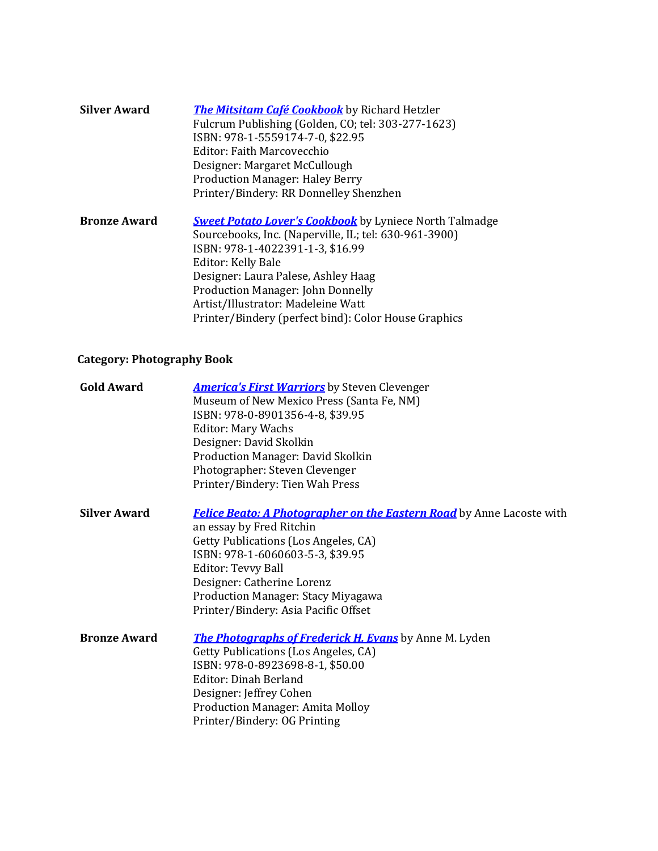| <b>Silver Award</b> | <b>The Mitsitam Café Cookbook</b> by Richard Hetzler<br>Fulcrum Publishing (Golden, CO; tel: 303-277-1623)<br>ISBN: 978-1-5559174-7-0, \$22.95<br>Editor: Faith Marcovecchio<br>Designer: Margaret McCullough<br><b>Production Manager: Haley Berry</b><br>Printer/Bindery: RR Donnelley Shenzhen                                                                  |
|---------------------|--------------------------------------------------------------------------------------------------------------------------------------------------------------------------------------------------------------------------------------------------------------------------------------------------------------------------------------------------------------------|
| <b>Bronze Award</b> | <b>Sweet Potato Lover's Cookbook</b> by Lyniece North Talmadge<br>Sourcebooks, Inc. (Naperville, IL; tel: 630-961-3900)<br>ISBN: 978-1-4022391-1-3, \$16.99<br>Editor: Kelly Bale<br>Designer: Laura Palese, Ashley Haag<br><b>Production Manager: John Donnelly</b><br>Artist/Illustrator: Madeleine Watt<br>Printer/Bindery (perfect bind): Color House Graphics |

### **Category: Photography Book**

| <b>Gold Award</b>   | <b>America's First Warriors</b> by Steven Clevenger                          |
|---------------------|------------------------------------------------------------------------------|
|                     | Museum of New Mexico Press (Santa Fe, NM)                                    |
|                     | ISBN: 978-0-8901356-4-8, \$39.95                                             |
|                     | <b>Editor: Mary Wachs</b>                                                    |
|                     | Designer: David Skolkin                                                      |
|                     | Production Manager: David Skolkin                                            |
|                     | Photographer: Steven Clevenger                                               |
|                     | Printer/Bindery: Tien Wah Press                                              |
| <b>Silver Award</b> | <b>Felice Beato: A Photographer on the Eastern Road</b> by Anne Lacoste with |
|                     | an essay by Fred Ritchin                                                     |
|                     | Getty Publications (Los Angeles, CA)                                         |
|                     | ISBN: 978-1-6060603-5-3, \$39.95                                             |
|                     | Editor: Tevvy Ball                                                           |
|                     | Designer: Catherine Lorenz                                                   |
|                     | Production Manager: Stacy Miyagawa                                           |
|                     | Printer/Bindery: Asia Pacific Offset                                         |
| <b>Bronze Award</b> | <b>The Photographs of Frederick H. Evans</b> by Anne M. Lyden                |
|                     | Getty Publications (Los Angeles, CA)                                         |
|                     | ISBN: 978-0-8923698-8-1, \$50.00                                             |
|                     | Editor: Dinah Berland                                                        |
|                     | Designer: Jeffrey Cohen                                                      |
|                     | <b>Production Manager: Amita Molloy</b>                                      |
|                     | Printer/Bindery: OG Printing                                                 |
|                     |                                                                              |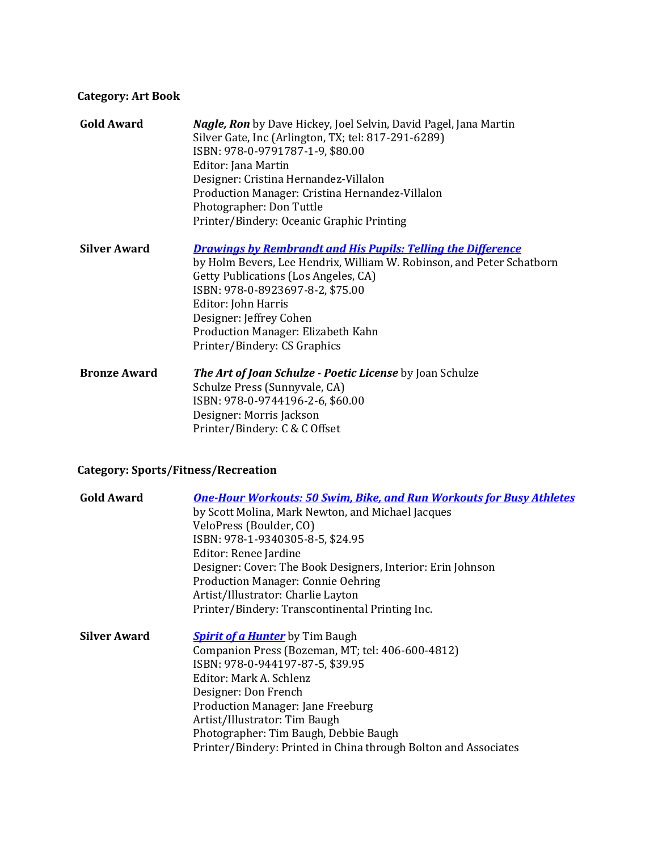### **Category: Art Book**

| <b>Gold Award</b>   | <b>Nagle, Ron</b> by Dave Hickey, Joel Selvin, David Pagel, Jana Martin<br>Silver Gate, Inc (Arlington, TX; tel: 817-291-6289)<br>ISBN: 978-0-9791787-1-9, \$80.00<br>Editor: Jana Martin<br>Designer: Cristina Hernandez-Villalon<br>Production Manager: Cristina Hernandez-Villalon<br>Photographer: Don Tuttle<br>Printer/Bindery: Oceanic Graphic Printing |
|---------------------|----------------------------------------------------------------------------------------------------------------------------------------------------------------------------------------------------------------------------------------------------------------------------------------------------------------------------------------------------------------|
| <b>Silver Award</b> | <b>Drawinas by Rembrandt and His Pupils: Telling the Difference</b><br>by Holm Bevers, Lee Hendrix, William W. Robinson, and Peter Schatborn<br>Getty Publications (Los Angeles, CA)<br>ISBN: 978-0-8923697-8-2, \$75.00<br>Editor: John Harris<br>Designer: Jeffrey Cohen<br>Production Manager: Elizabeth Kahn<br>Printer/Bindery: CS Graphics               |
| <b>Bronze Award</b> | The Art of Joan Schulze - Poetic License by Joan Schulze<br>Schulze Press (Sunnyvale, CA)<br>ISBN: 978-0-9744196-2-6, \$60.00<br>Designer: Morris Jackson<br>Printer/Bindery: C & C Offset                                                                                                                                                                     |

## **Category: Sports/Fitness/Recreation**

| <b>Gold Award</b>   | <b>One-Hour Workouts: 50 Swim, Bike, and Run Workouts for Busy Athletes</b> |
|---------------------|-----------------------------------------------------------------------------|
|                     | by Scott Molina, Mark Newton, and Michael Jacques                           |
|                     | VeloPress (Boulder, CO)                                                     |
|                     | ISBN: 978-1-9340305-8-5, \$24.95                                            |
|                     | Editor: Renee Jardine                                                       |
|                     | Designer: Cover: The Book Designers, Interior: Erin Johnson                 |
|                     | <b>Production Manager: Connie Oehring</b>                                   |
|                     | Artist/Illustrator: Charlie Layton                                          |
|                     | Printer/Bindery: Transcontinental Printing Inc.                             |
| <b>Silver Award</b> | <b>Spirit of a Hunter</b> by Tim Baugh                                      |
|                     | Companion Press (Bozeman, MT; tel: 406-600-4812)                            |
|                     | ISBN: 978-0-944197-87-5, \$39.95                                            |
|                     | Editor: Mark A. Schlenz                                                     |
|                     | Designer: Don French                                                        |
|                     | <b>Production Manager: Jane Freeburg</b>                                    |
|                     | Artist/Illustrator: Tim Baugh                                               |
|                     | Photographer: Tim Baugh, Debbie Baugh                                       |
|                     | Printer/Bindery: Printed in China through Bolton and Associates             |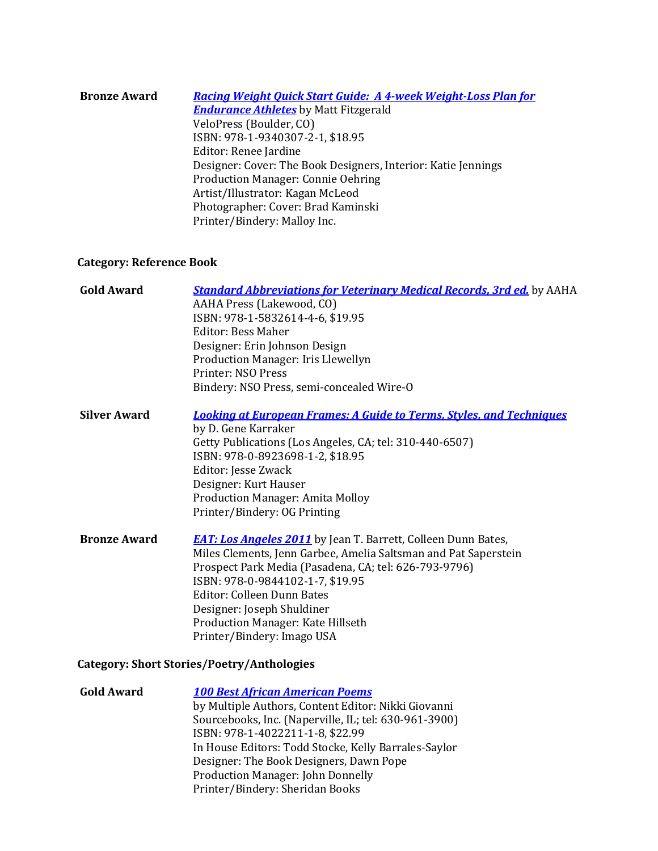| <b>Bronze Award</b> | <b>Racing Weight Quick Start Guide: A 4-week Weight-Loss Plan for</b> |
|---------------------|-----------------------------------------------------------------------|
|                     | <b>Endurance Athletes</b> by Matt Fitzgerald                          |
|                     | VeloPress (Boulder, CO)                                               |
|                     | ISBN: 978-1-9340307-2-1, \$18.95                                      |
|                     | Editor: Renee Jardine                                                 |
|                     | Designer: Cover: The Book Designers, Interior: Katie Jennings         |
|                     | Production Manager: Connie Oehring                                    |
|                     | Artist/Illustrator: Kagan McLeod                                      |
|                     | Photographer: Cover: Brad Kaminski                                    |
|                     | Printer/Bindery: Malloy Inc.                                          |
|                     |                                                                       |

## **Category: Reference Book**

| <b>Gold Award</b>   | <b>Standard Abbreviations for Veterinary Medical Records, 3rd ed.</b> by AAHA<br>AAHA Press (Lakewood, CO)<br>ISBN: 978-1-5832614-4-6, \$19.95<br><b>Editor: Bess Maher</b><br>Designer: Erin Johnson Design<br>Production Manager: Iris Llewellyn<br>Printer: NSO Press<br>Bindery: NSO Press, semi-concealed Wire-O                                               |
|---------------------|---------------------------------------------------------------------------------------------------------------------------------------------------------------------------------------------------------------------------------------------------------------------------------------------------------------------------------------------------------------------|
| <b>Silver Award</b> | <b>Looking at European Frames: A Guide to Terms, Styles, and Techniques</b><br>by D. Gene Karraker<br>Getty Publications (Los Angeles, CA; tel: 310-440-6507)<br>ISBN: 978-0-8923698-1-2, \$18.95<br>Editor: Jesse Zwack<br>Designer: Kurt Hauser<br><b>Production Manager: Amita Molloy</b><br>Printer/Bindery: OG Printing                                        |
| <b>Bronze Award</b> | <b>EAT: Los Angeles 2011</b> by Jean T. Barrett, Colleen Dunn Bates,<br>Miles Clements, Jenn Garbee, Amelia Saltsman and Pat Saperstein<br>Prospect Park Media (Pasadena, CA; tel: 626-793-9796)<br>ISBN: 978-0-9844102-1-7, \$19.95<br>Editor: Colleen Dunn Bates<br>Designer: Joseph Shuldiner<br>Production Manager: Kate Hillseth<br>Printer/Bindery: Imago USA |

## **Category: Short Stories/Poetry/Anthologies**

| <b>Gold Award</b> | <b>100 Best African American Poems</b>                |
|-------------------|-------------------------------------------------------|
|                   | by Multiple Authors, Content Editor: Nikki Giovanni   |
|                   | Sourcebooks, Inc. (Naperville, IL; tel: 630-961-3900) |
|                   | ISBN: 978-1-4022211-1-8, \$22.99                      |
|                   | In House Editors: Todd Stocke, Kelly Barrales-Saylor  |
|                   | Designer: The Book Designers, Dawn Pope               |
|                   | <b>Production Manager: John Donnelly</b>              |
|                   | Printer/Bindery: Sheridan Books                       |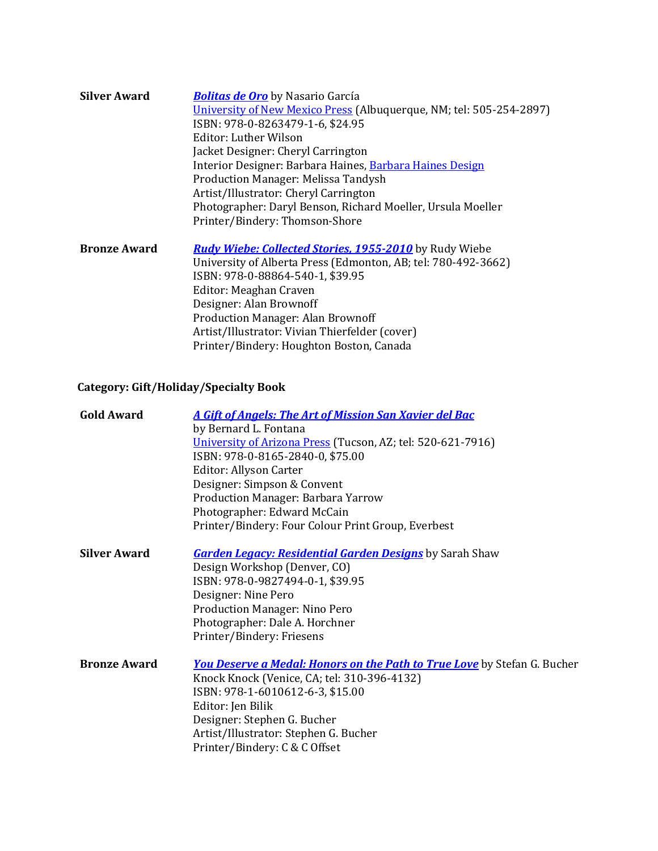| <b>Silver Award</b> | <b>Bolitas de Oro</b> by Nasario García<br>University of New Mexico Press (Albuquerque, NM; tel: 505-254-2897)<br>ISBN: 978-0-8263479-1-6, \$24.95<br>Editor: Luther Wilson<br>Jacket Designer: Cheryl Carrington<br>Interior Designer: Barbara Haines, Barbara Haines Design<br>Production Manager: Melissa Tandysh<br>Artist/Illustrator: Cheryl Carrington<br>Photographer: Daryl Benson, Richard Moeller, Ursula Moeller<br>Printer/Bindery: Thomson-Shore |
|---------------------|----------------------------------------------------------------------------------------------------------------------------------------------------------------------------------------------------------------------------------------------------------------------------------------------------------------------------------------------------------------------------------------------------------------------------------------------------------------|
| <b>Bronze Award</b> | <b>Rudy Wiebe: Collected Stories, 1955-2010</b> by Rudy Wiebe<br>University of Alberta Press (Edmonton, AB; tel: 780-492-3662)<br>ISBN: 978-0-88864-540-1, \$39.95<br>Editor: Meaghan Craven<br>Designer: Alan Brownoff<br>Production Manager: Alan Brownoff<br>Artist/Illustrator: Vivian Thierfelder (cover)<br>Printer/Bindery: Houghton Boston, Canada                                                                                                     |

# **Category: Gift/Holiday/Specialty Book**

| <b>A Gift of Angels: The Art of Mission San Xavier del Bac</b>                  |
|---------------------------------------------------------------------------------|
| by Bernard L. Fontana                                                           |
| University of Arizona Press (Tucson, AZ; tel: 520-621-7916)                     |
| ISBN: 978-0-8165-2840-0, \$75.00                                                |
| <b>Editor: Allyson Carter</b>                                                   |
| Designer: Simpson & Convent                                                     |
| Production Manager: Barbara Yarrow                                              |
| Photographer: Edward McCain                                                     |
| Printer/Bindery: Four Colour Print Group, Everbest                              |
| <b>Garden Legacy: Residential Garden Designs</b> by Sarah Shaw                  |
| Design Workshop (Denver, CO)                                                    |
| ISBN: 978-0-9827494-0-1, \$39.95                                                |
| Designer: Nine Pero                                                             |
| <b>Production Manager: Nino Pero</b>                                            |
| Photographer: Dale A. Horchner                                                  |
| Printer/Bindery: Friesens                                                       |
| <b>You Deserve a Medal: Honors on the Path to True Love</b> by Stefan G. Bucher |
| Knock Knock (Venice, CA; tel: 310-396-4132)                                     |
| ISBN: 978-1-6010612-6-3, \$15.00                                                |
| Editor: Jen Bilik                                                               |
| Designer: Stephen G. Bucher                                                     |
| Artist/Illustrator: Stephen G. Bucher                                           |
| Printer/Bindery: C & C Offset                                                   |
|                                                                                 |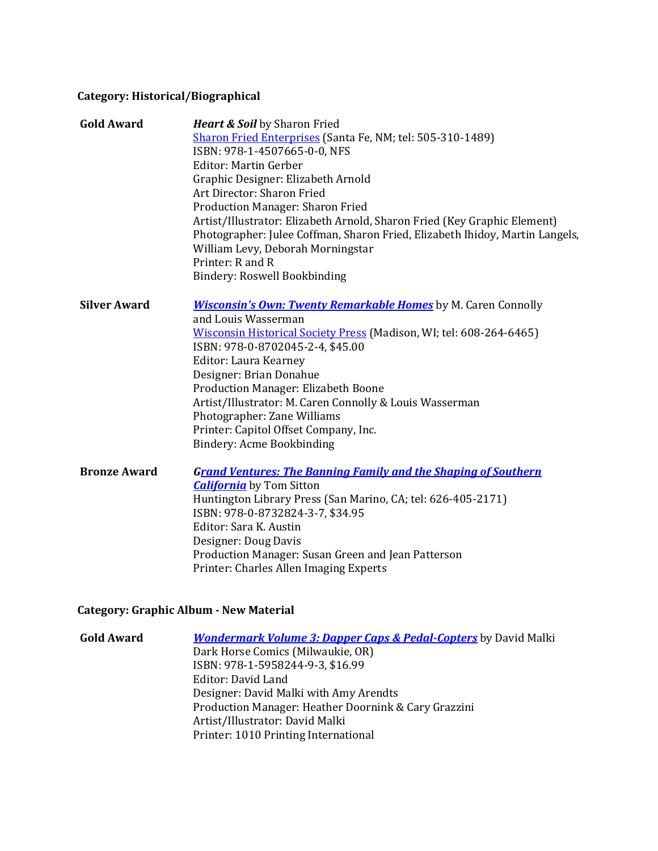## **Category: Historical/Biographical**

| <b>Gold Award</b>   | <b>Heart &amp; Soil</b> by Sharon Fried                                      |
|---------------------|------------------------------------------------------------------------------|
|                     | Sharon Fried Enterprises (Santa Fe, NM; tel: 505-310-1489)                   |
|                     | ISBN: 978-1-4507665-0-0, NFS                                                 |
|                     | <b>Editor: Martin Gerber</b>                                                 |
|                     | Graphic Designer: Elizabeth Arnold                                           |
|                     | Art Director: Sharon Fried                                                   |
|                     | Production Manager: Sharon Fried                                             |
|                     | Artist/Illustrator: Elizabeth Arnold, Sharon Fried (Key Graphic Element)     |
|                     | Photographer: Julee Coffman, Sharon Fried, Elizabeth Ihidoy, Martin Langels, |
|                     | William Levy, Deborah Morningstar                                            |
|                     | Printer: R and R                                                             |
|                     | <b>Bindery: Roswell Bookbinding</b>                                          |
| <b>Silver Award</b> | <b>Wisconsin's Own: Twenty Remarkable Homes</b> by M. Caren Connolly         |
|                     | and Louis Wasserman                                                          |
|                     | Wisconsin Historical Society Press (Madison, WI; tel: 608-264-6465)          |
|                     | ISBN: 978-0-8702045-2-4, \$45.00                                             |
|                     | Editor: Laura Kearney                                                        |
|                     | Designer: Brian Donahue                                                      |
|                     | Production Manager: Elizabeth Boone                                          |
|                     | Artist/Illustrator: M. Caren Connolly & Louis Wasserman                      |
|                     | Photographer: Zane Williams                                                  |
|                     | Printer: Capitol Offset Company, Inc.                                        |
|                     | Bindery: Acme Bookbinding                                                    |
| <b>Bronze Award</b> | <b>Grand Ventures: The Banning Family and the Shaping of Southern</b>        |
|                     | <b>California</b> by Tom Sitton                                              |
|                     | Huntington Library Press (San Marino, CA; tel: 626-405-2171)                 |
|                     | ISBN: 978-0-8732824-3-7, \$34.95                                             |
|                     | Editor: Sara K. Austin                                                       |
|                     | Designer: Doug Davis                                                         |
|                     | Production Manager: Susan Green and Jean Patterson                           |
|                     | Printer: Charles Allen Imaging Experts                                       |

## **Category: Graphic Album - New Material**

| <b>Gold Award</b> | <b>Wondermark Volume 3: Dapper Caps &amp; Pedal-Copters</b> by David Malki |
|-------------------|----------------------------------------------------------------------------|
|                   | Dark Horse Comics (Milwaukie, OR)                                          |
|                   | ISBN: 978-1-5958244-9-3, \$16.99                                           |
|                   | Editor: David Land                                                         |
|                   | Designer: David Malki with Amy Arendts                                     |
|                   | Production Manager: Heather Doornink & Cary Grazzini                       |
|                   | Artist/Illustrator: David Malki                                            |
|                   | Printer: 1010 Printing International                                       |
|                   |                                                                            |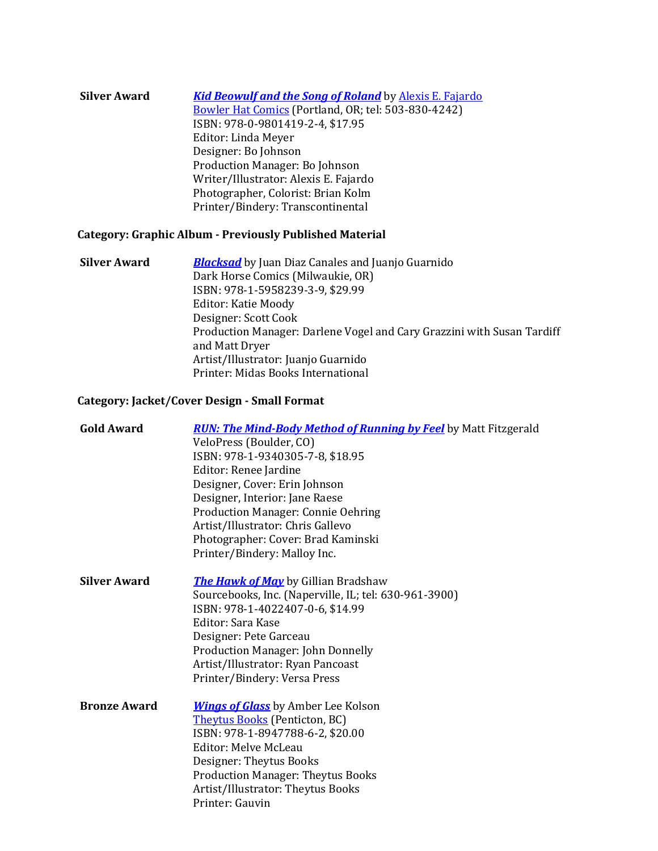| <b>Silver Award</b> | <b>Kid Beowulf and the Song of Roland</b> by Alexis E. Fajardo |
|---------------------|----------------------------------------------------------------|
|                     | Bowler Hat Comics (Portland, OR; tel: 503-830-4242)            |
|                     | ISBN: 978-0-9801419-2-4, \$17.95                               |
|                     | Editor: Linda Meyer                                            |
|                     | Designer: Bo Johnson                                           |
|                     | Production Manager: Bo Johnson                                 |
|                     | Writer/Illustrator: Alexis E. Fajardo                          |
|                     | Photographer, Colorist: Brian Kolm                             |
|                     | Printer/Bindery: Transcontinental                              |

### **Category: Graphic Album - Previously Published Material**

**Silver Award** *[Blacksad](http://www.darkhorse.com/Books/16-361/Blacksad-HC)* by Juan Diaz Canales and Juanjo Guarnido Dark Horse Comics (Milwaukie, OR) ISBN: 978-1-5958239-3-9, \$29.99 Editor: Katie Moody Designer: Scott Cook Production Manager: Darlene Vogel and Cary Grazzini with Susan Tardiff and Matt Dryer Artist/Illustrator: Juanjo Guarnido Printer: Midas Books International

#### **Category: Jacket/Cover Design - Small Format**

| <b>Gold Award</b>   | <b>RUN: The Mind-Body Method of Running by Feel</b> by Matt Fitzgerald<br>VeloPress (Boulder, CO)<br>ISBN: 978-1-9340305-7-8, \$18.95<br>Editor: Renee Jardine<br>Designer, Cover: Erin Johnson<br>Designer, Interior: Jane Raese<br>Production Manager: Connie Oehring<br>Artist/Illustrator: Chris Gallevo<br>Photographer: Cover: Brad Kaminski<br>Printer/Bindery: Malloy Inc. |
|---------------------|------------------------------------------------------------------------------------------------------------------------------------------------------------------------------------------------------------------------------------------------------------------------------------------------------------------------------------------------------------------------------------|
| <b>Silver Award</b> | <b>The Hawk of May</b> by Gillian Bradshaw<br>Sourcebooks, Inc. (Naperville, IL; tel: 630-961-3900)<br>ISBN: 978-1-4022407-0-6, \$14.99<br>Editor: Sara Kase<br>Designer: Pete Garceau<br><b>Production Manager: John Donnelly</b><br>Artist/Illustrator: Ryan Pancoast<br>Printer/Bindery: Versa Press                                                                            |
| <b>Bronze Award</b> | <b>Wings of Glass</b> by Amber Lee Kolson<br><b>Theytus Books</b> (Penticton, BC)<br>ISBN: 978-1-8947788-6-2, \$20.00<br><b>Editor: Melve McLeau</b><br>Designer: Theytus Books<br><b>Production Manager: Theytus Books</b><br>Artist/Illustrator: Theytus Books<br>Printer: Gauvin                                                                                                |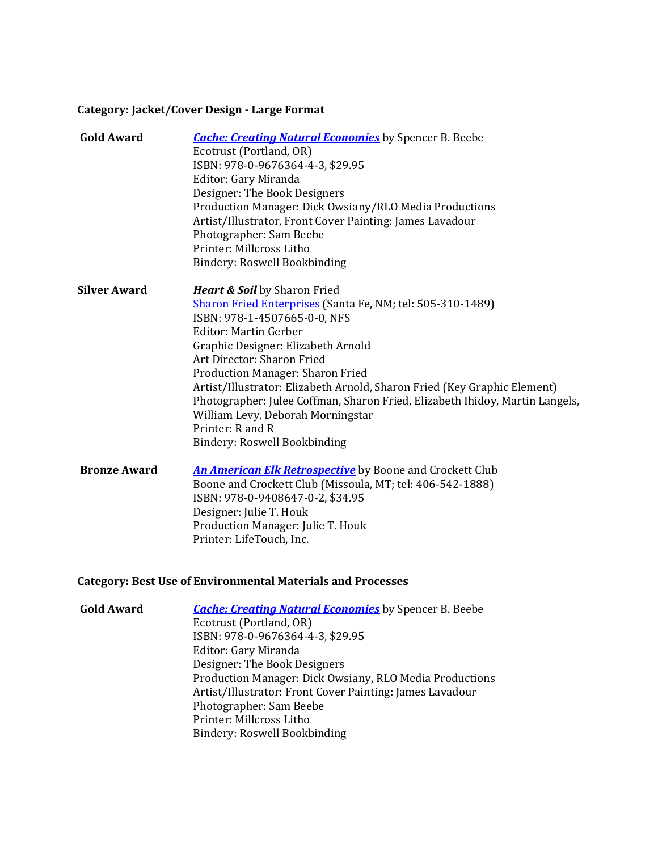## **Category: Jacket/Cover Design - Large Format**

| <b>Gold Award</b>   | <b>Cache: Creating Natural Economies</b> by Spencer B. Beebe                 |
|---------------------|------------------------------------------------------------------------------|
|                     | Ecotrust (Portland, OR)                                                      |
|                     | ISBN: 978-0-9676364-4-3, \$29.95                                             |
|                     | Editor: Gary Miranda                                                         |
|                     | Designer: The Book Designers                                                 |
|                     | Production Manager: Dick Owsiany/RLO Media Productions                       |
|                     | Artist/Illustrator, Front Cover Painting: James Lavadour                     |
|                     | Photographer: Sam Beebe                                                      |
|                     | Printer: Millcross Litho                                                     |
|                     | Bindery: Roswell Bookbinding                                                 |
| <b>Silver Award</b> | <b>Heart &amp; Soil</b> by Sharon Fried                                      |
|                     | <b>Sharon Fried Enterprises</b> (Santa Fe, NM; tel: 505-310-1489)            |
|                     | ISBN: 978-1-4507665-0-0, NFS                                                 |
|                     | <b>Editor: Martin Gerber</b>                                                 |
|                     | Graphic Designer: Elizabeth Arnold                                           |
|                     | Art Director: Sharon Fried                                                   |
|                     | Production Manager: Sharon Fried                                             |
|                     | Artist/Illustrator: Elizabeth Arnold, Sharon Fried (Key Graphic Element)     |
|                     | Photographer: Julee Coffman, Sharon Fried, Elizabeth Ihidoy, Martin Langels, |
|                     | William Levy, Deborah Morningstar                                            |
|                     | Printer: R and R                                                             |
|                     | Bindery: Roswell Bookbinding                                                 |
| <b>Bronze Award</b> | <b>An American Elk Retrospective</b> by Boone and Crockett Club              |
|                     | Boone and Crockett Club (Missoula, MT; tel: 406-542-1888)                    |
|                     | ISBN: 978-0-9408647-0-2, \$34.95                                             |
|                     | Designer: Julie T. Houk                                                      |

# **Category: Best Use of Environmental Materials and Processes**

Printer: LifeTouch, Inc.

| <b>Gold Award</b> | <b>Cache: Creating Natural Economies</b> by Spencer B. Beebe<br>Ecotrust (Portland, OR)<br>ISBN: 978-0-9676364-4-3, \$29.95<br>Editor: Gary Miranda<br>Designer: The Book Designers<br>Production Manager: Dick Owsiany, RLO Media Productions<br>Artist/Illustrator: Front Cover Painting: James Lavadour<br>Photographer: Sam Beebe |
|-------------------|---------------------------------------------------------------------------------------------------------------------------------------------------------------------------------------------------------------------------------------------------------------------------------------------------------------------------------------|
|                   | Printer: Millcross Litho<br>Bindery: Roswell Bookbinding                                                                                                                                                                                                                                                                              |

Production Manager: Julie T. Houk